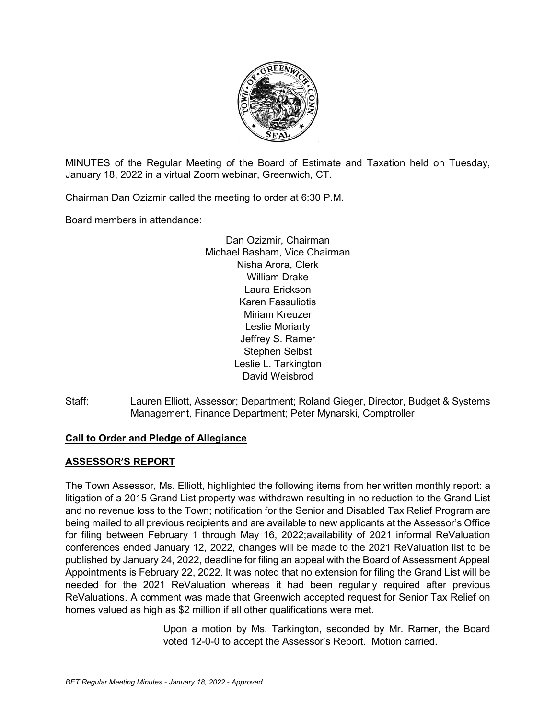

MINUTES of the Regular Meeting of the Board of Estimate and Taxation held on Tuesday, January 18, 2022 in a virtual Zoom webinar, Greenwich, CT.

Chairman Dan Ozizmir called the meeting to order at 6:30 P.M.

Board members in attendance:

Dan Ozizmir, Chairman Michael Basham, Vice Chairman Nisha Arora, Clerk William Drake Laura Erickson Karen Fassuliotis Miriam Kreuzer Leslie Moriarty Jeffrey S. Ramer Stephen Selbst Leslie L. Tarkington David Weisbrod

Staff: Lauren Elliott, Assessor; Department; Roland Gieger, Director, Budget & Systems Management, Finance Department; Peter Mynarski, Comptroller

# **Call to Order and Pledge of Allegiance**

## **ASSESSOR'S REPORT**

The Town Assessor, Ms. Elliott, highlighted the following items from her written monthly report: a litigation of a 2015 Grand List property was withdrawn resulting in no reduction to the Grand List and no revenue loss to the Town; notification for the Senior and Disabled Tax Relief Program are being mailed to all previous recipients and are available to new applicants at the Assessor's Office for filing between February 1 through May 16, 2022;availability of 2021 informal ReValuation conferences ended January 12, 2022, changes will be made to the 2021 ReValuation list to be published by January 24, 2022, deadline for filing an appeal with the Board of Assessment Appeal Appointments is February 22, 2022. It was noted that no extension for filing the Grand List will be needed for the 2021 ReValuation whereas it had been regularly required after previous ReValuations. A comment was made that Greenwich accepted request for Senior Tax Relief on homes valued as high as \$2 million if all other qualifications were met.

> Upon a motion by Ms. Tarkington, seconded by Mr. Ramer, the Board voted 12-0-0 to accept the Assessor's Report. Motion carried.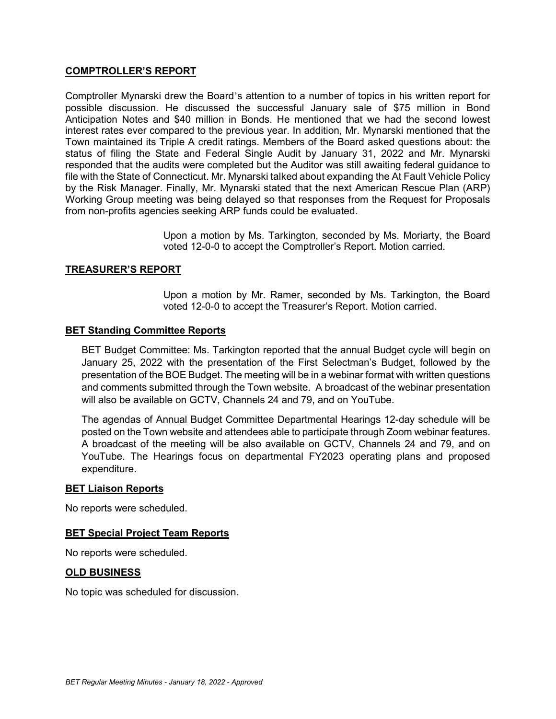## **COMPTROLLER'S REPORT**

Comptroller Mynarski drew the Board's attention to a number of topics in his written report for possible discussion. He discussed the successful January sale of \$75 million in Bond Anticipation Notes and \$40 million in Bonds. He mentioned that we had the second lowest interest rates ever compared to the previous year. In addition, Mr. Mynarski mentioned that the Town maintained its Triple A credit ratings. Members of the Board asked questions about: the status of filing the State and Federal Single Audit by January 31, 2022 and Mr. Mynarski responded that the audits were completed but the Auditor was still awaiting federal guidance to file with the State of Connecticut. Mr. Mynarski talked about expanding the At Fault Vehicle Policy by the Risk Manager. Finally, Mr. Mynarski stated that the next American Rescue Plan (ARP) Working Group meeting was being delayed so that responses from the Request for Proposals from non-profits agencies seeking ARP funds could be evaluated.

> Upon a motion by Ms. Tarkington, seconded by Ms. Moriarty, the Board voted 12-0-0 to accept the Comptroller's Report. Motion carried.

## **TREASURER'S REPORT**

Upon a motion by Mr. Ramer, seconded by Ms. Tarkington, the Board voted 12-0-0 to accept the Treasurer's Report. Motion carried.

## **BET Standing Committee Reports**

BET Budget Committee: Ms. Tarkington reported that the annual Budget cycle will begin on January 25, 2022 with the presentation of the First Selectman's Budget, followed by the presentation of the BOE Budget. The meeting will be in a webinar format with written questions and comments submitted through the Town website. A broadcast of the webinar presentation will also be available on GCTV, Channels 24 and 79, and on YouTube.

The agendas of Annual Budget Committee Departmental Hearings 12-day schedule will be posted on the Town website and attendees able to participate through Zoom webinar features. A broadcast of the meeting will be also available on GCTV, Channels 24 and 79, and on YouTube. The Hearings focus on departmental FY2023 operating plans and proposed expenditure.

#### **BET Liaison Reports**

No reports were scheduled.

## **BET Special Project Team Reports**

No reports were scheduled.

#### **OLD BUSINESS**

No topic was scheduled for discussion.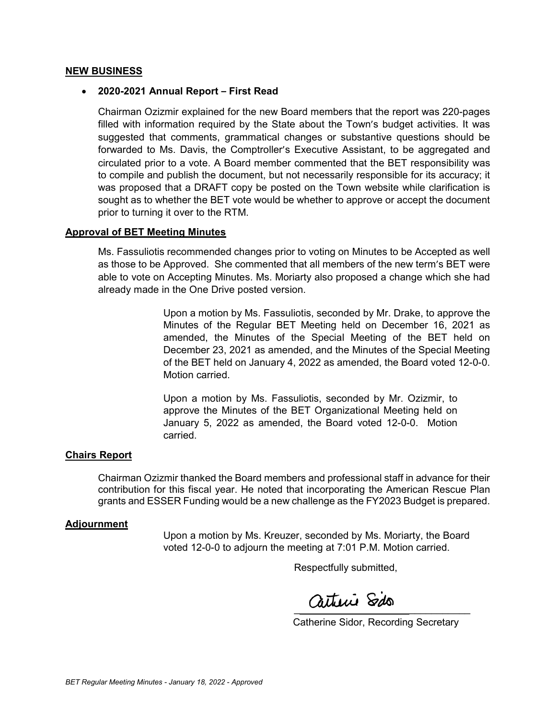### **NEW BUSINESS**

### • **2020-2021 Annual Report – First Read**

Chairman Ozizmir explained for the new Board members that the report was 220-pages filled with information required by the State about the Town's budget activities. It was suggested that comments, grammatical changes or substantive questions should be forwarded to Ms. Davis, the Comptroller's Executive Assistant, to be aggregated and circulated prior to a vote. A Board member commented that the BET responsibility was to compile and publish the document, but not necessarily responsible for its accuracy; it was proposed that a DRAFT copy be posted on the Town website while clarification is sought as to whether the BET vote would be whether to approve or accept the document prior to turning it over to the RTM.

## **Approval of BET Meeting Minutes**

Ms. Fassuliotis recommended changes prior to voting on Minutes to be Accepted as well as those to be Approved. She commented that all members of the new term's BET were able to vote on Accepting Minutes. Ms. Moriarty also proposed a change which she had already made in the One Drive posted version.

> Upon a motion by Ms. Fassuliotis, seconded by Mr. Drake, to approve the Minutes of the Regular BET Meeting held on December 16, 2021 as amended, the Minutes of the Special Meeting of the BET held on December 23, 2021 as amended, and the Minutes of the Special Meeting of the BET held on January 4, 2022 as amended, the Board voted 12-0-0. Motion carried.

Upon a motion by Ms. Fassuliotis, seconded by Mr. Ozizmir, to approve the Minutes of the BET Organizational Meeting held on January 5, 2022 as amended, the Board voted 12-0-0. Motion carried.

#### **Chairs Report**

Chairman Ozizmir thanked the Board members and professional staff in advance for their contribution for this fiscal year. He noted that incorporating the American Rescue Plan grants and ESSER Funding would be a new challenge as the FY2023 Budget is prepared.

## **Adjournment**

Upon a motion by Ms. Kreuzer, seconded by Ms. Moriarty, the Board voted 12-0-0 to adjourn the meeting at 7:01 P.M. Motion carried.

Respectfully submitted,

 $\frac{1}{2}$ 

Catherine Sidor, Recording Secretary